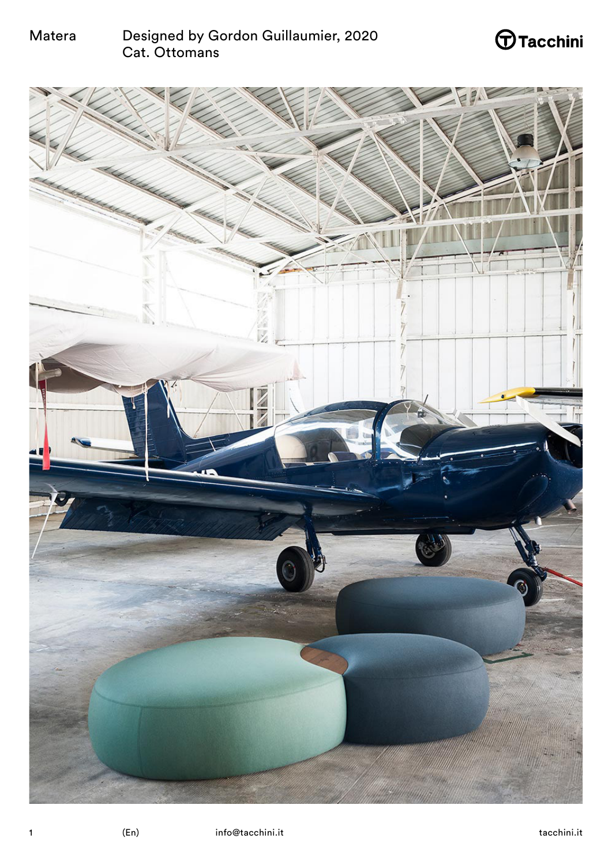# $\bigoplus$ Tacchini

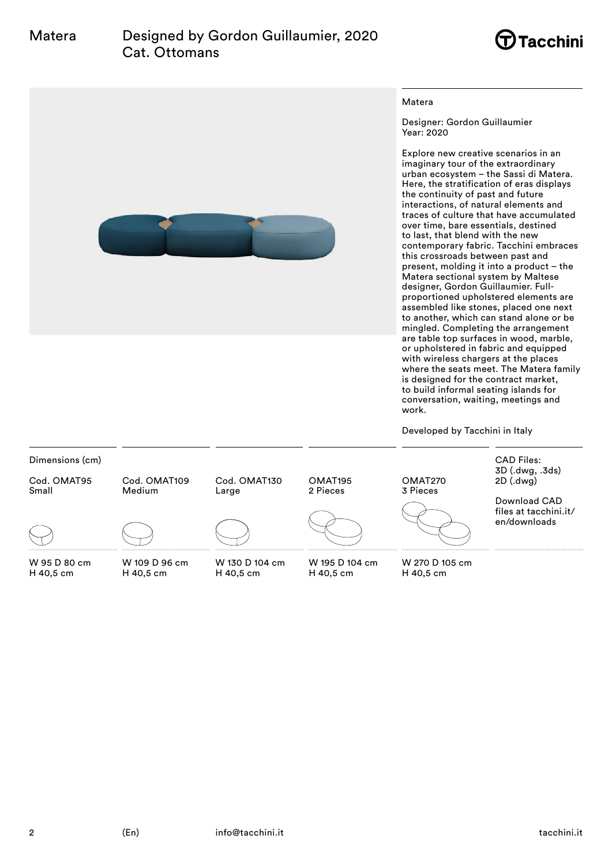



#### Matera

Designer: Gordon Guillaumier Year: 2020

Explore new creative scenarios in an imaginary tour of the extraordinary urban ecosystem – the Sassi di Matera. Here, the stratification of eras displays the continuity of past and future interactions, of natural elements and traces of culture that have accumulated over time, bare essentials, destined to last, that blend with the new contemporary fabric. Tacchini embraces this crossroads between past and present, molding it into a product – the Matera sectional system by Maltese designer, Gordon Guillaumier. Fullproportioned upholstered elements are assembled like stones, placed one next to another, which can stand alone or be mingled. Completing the arrangement are table top surfaces in wood, marble, or upholstered in fabric and equipped with wireless chargers at the places where the seats meet. The Matera family is designed for the contract market, to build informal seating islands for conversation, waiting, meetings and work.

Developed by Tacchini in Italy

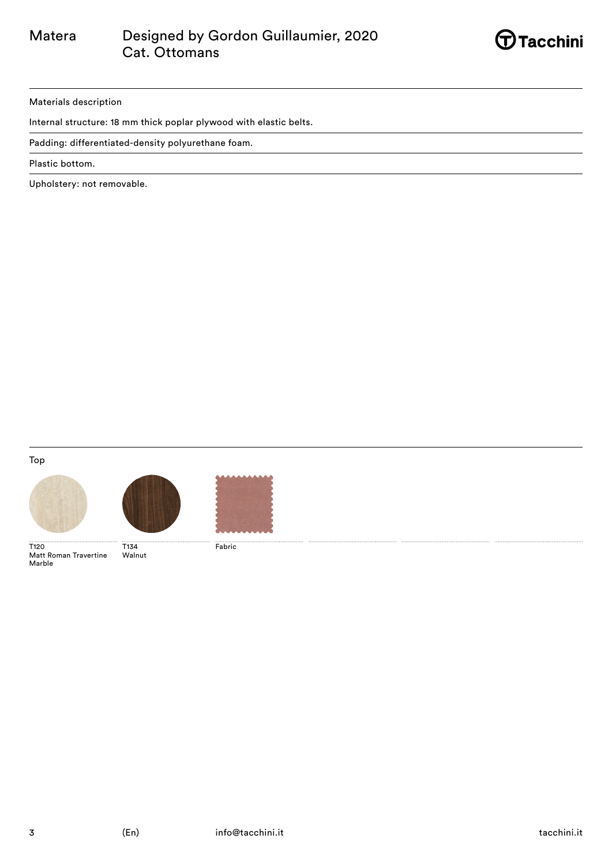

### Materials description

Internal structure: 18 mm thick poplar plywood with elastic belts.

Padding: differentiated-density polyurethane foam.

Plastic bottom.

Upholstery: not removable.

Top







Fabric

T120 Matt Roman Travertine Marble T134

Walnut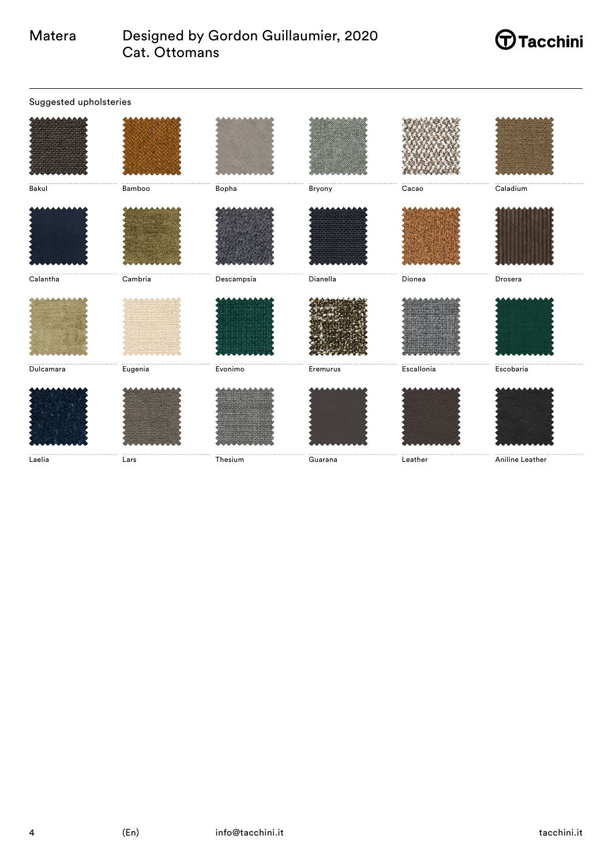# $\bigoplus$ Tacchini

| Suggested upholsteries |         |            |          |            |                 |
|------------------------|---------|------------|----------|------------|-----------------|
|                        |         |            |          |            |                 |
| Bakul                  | Bamboo  | <br>Bopha  | Bryony   | Cacao      | Caladium        |
|                        |         |            |          |            |                 |
| Calantha               | Cambria | Descampsia | Dianella | Dionea     | Drosera         |
|                        |         |            |          |            |                 |
| Dulcamara              | Eugenia | Evonimo    | Eremurus | Escallonia | Escobaria       |
|                        |         |            |          |            |                 |
| Laelia                 | Lars    | Thesium    | Guarana  | Leather    | Aniline Leather |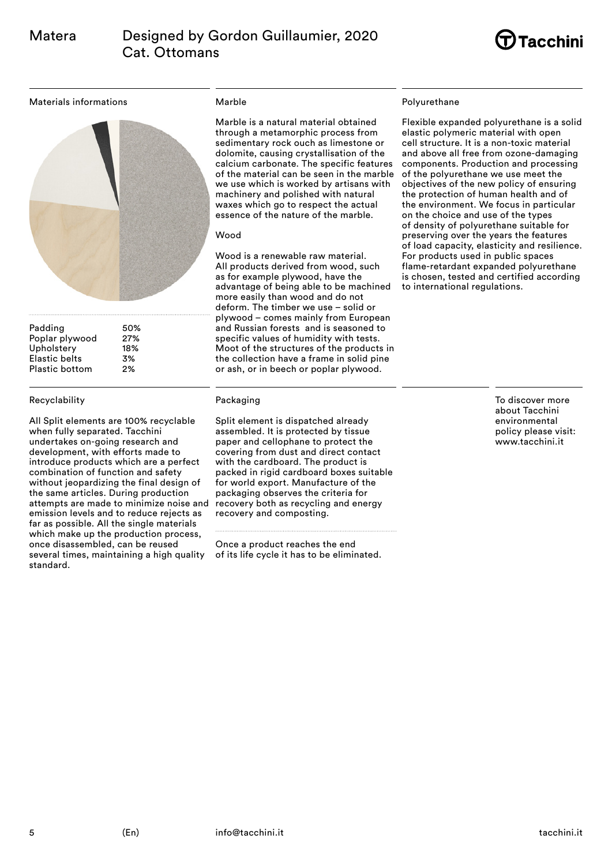

### Materials informations



Padding 50% Poplar plywood 27% Upholstery 18% Elastic belts 3% Plastic bottom 2%

### Recyclability

All Split elements are 100% recyclable when fully separated. Tacchini undertakes on-going research and development, with efforts made to introduce products which are a perfect combination of function and safety without jeopardizing the final design of the same articles. During production attempts are made to minimize noise and emission levels and to reduce rejects as far as possible. All the single materials which make up the production process, once disassembled, can be reused several times, maintaining a high quality standard.

## Marble

Marble is a natural material obtained through a metamorphic process from sedimentary rock ouch as limestone or dolomite, causing crystallisation of the calcium carbonate. The specific features of the material can be seen in the marble we use which is worked by artisans with machinery and polished with natural waxes which go to respect the actual essence of the nature of the marble.

### Wood

Wood is a renewable raw material. All products derived from wood, such as for example plywood, have the advantage of being able to be machined more easily than wood and do not deform. The timber we use – solid or plywood – comes mainly from European and Russian forests and is seasoned to specific values of humidity with tests. Moot of the structures of the products in the collection have a frame in solid pine or ash, or in beech or poplar plywood.

# Packaging

Split element is dispatched already assembled. It is protected by tissue paper and cellophane to protect the covering from dust and direct contact with the cardboard. The product is packed in rigid cardboard boxes suitable for world export. Manufacture of the packaging observes the criteria for recovery both as recycling and energy recovery and composting.

Once a product reaches the end of its life cycle it has to be eliminated.

## Polyurethane

Flexible expanded polyurethane is a solid elastic polymeric material with open cell structure. It is a non-toxic material and above all free from ozone-damaging components. Production and processing of the polyurethane we use meet the objectives of the new policy of ensuring the protection of human health and of the environment. We focus in particular on the choice and use of the types of density of polyurethane suitable for preserving over the years the features of load capacity, elasticity and resilience. For products used in public spaces flame-retardant expanded polyurethane is chosen, tested and certified according to international regulations.

> To discover more about Tacchini environmental policy please visit: www.tacchini.it